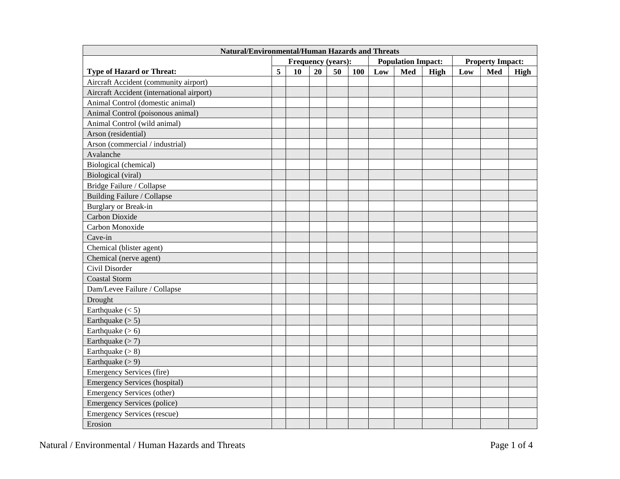| <b>Natural/Environmental/Human Hazards and Threats</b> |   |                           |    |    |     |                           |     |                         |     |     |             |
|--------------------------------------------------------|---|---------------------------|----|----|-----|---------------------------|-----|-------------------------|-----|-----|-------------|
|                                                        |   | <b>Frequency (years):</b> |    |    |     | <b>Population Impact:</b> |     | <b>Property Impact:</b> |     |     |             |
| <b>Type of Hazard or Threat:</b>                       | 5 | 10                        | 20 | 50 | 100 | Low                       | Med | <b>High</b>             | Low | Med | <b>High</b> |
| Aircraft Accident (community airport)                  |   |                           |    |    |     |                           |     |                         |     |     |             |
| Aircraft Accident (international airport)              |   |                           |    |    |     |                           |     |                         |     |     |             |
| Animal Control (domestic animal)                       |   |                           |    |    |     |                           |     |                         |     |     |             |
| Animal Control (poisonous animal)                      |   |                           |    |    |     |                           |     |                         |     |     |             |
| Animal Control (wild animal)                           |   |                           |    |    |     |                           |     |                         |     |     |             |
| Arson (residential)                                    |   |                           |    |    |     |                           |     |                         |     |     |             |
| Arson (commercial / industrial)                        |   |                           |    |    |     |                           |     |                         |     |     |             |
| Avalanche                                              |   |                           |    |    |     |                           |     |                         |     |     |             |
| Biological (chemical)                                  |   |                           |    |    |     |                           |     |                         |     |     |             |
| Biological (viral)                                     |   |                           |    |    |     |                           |     |                         |     |     |             |
| Bridge Failure / Collapse                              |   |                           |    |    |     |                           |     |                         |     |     |             |
| Building Failure / Collapse                            |   |                           |    |    |     |                           |     |                         |     |     |             |
| Burglary or Break-in                                   |   |                           |    |    |     |                           |     |                         |     |     |             |
| Carbon Dioxide                                         |   |                           |    |    |     |                           |     |                         |     |     |             |
| Carbon Monoxide                                        |   |                           |    |    |     |                           |     |                         |     |     |             |
| Cave-in                                                |   |                           |    |    |     |                           |     |                         |     |     |             |
| Chemical (blister agent)                               |   |                           |    |    |     |                           |     |                         |     |     |             |
| Chemical (nerve agent)                                 |   |                           |    |    |     |                           |     |                         |     |     |             |
| Civil Disorder                                         |   |                           |    |    |     |                           |     |                         |     |     |             |
| <b>Coastal Storm</b>                                   |   |                           |    |    |     |                           |     |                         |     |     |             |
| Dam/Levee Failure / Collapse                           |   |                           |    |    |     |                           |     |                         |     |     |             |
| Drought                                                |   |                           |    |    |     |                           |     |                         |     |     |             |
| Earthquake $(< 5)$                                     |   |                           |    |    |     |                           |     |                         |     |     |             |
| Earthquake $(> 5)$                                     |   |                           |    |    |     |                           |     |                         |     |     |             |
| Earthquake $(>6)$                                      |   |                           |    |    |     |                           |     |                         |     |     |             |
| Earthquake $(>7)$                                      |   |                           |    |    |     |                           |     |                         |     |     |             |
| Earthquake $(>8)$                                      |   |                           |    |    |     |                           |     |                         |     |     |             |
| Earthquake $(>9)$                                      |   |                           |    |    |     |                           |     |                         |     |     |             |
| <b>Emergency Services (fire)</b>                       |   |                           |    |    |     |                           |     |                         |     |     |             |
| <b>Emergency Services (hospital)</b>                   |   |                           |    |    |     |                           |     |                         |     |     |             |
| Emergency Services (other)                             |   |                           |    |    |     |                           |     |                         |     |     |             |
| <b>Emergency Services (police)</b>                     |   |                           |    |    |     |                           |     |                         |     |     |             |
| <b>Emergency Services (rescue)</b>                     |   |                           |    |    |     |                           |     |                         |     |     |             |
| Erosion                                                |   |                           |    |    |     |                           |     |                         |     |     |             |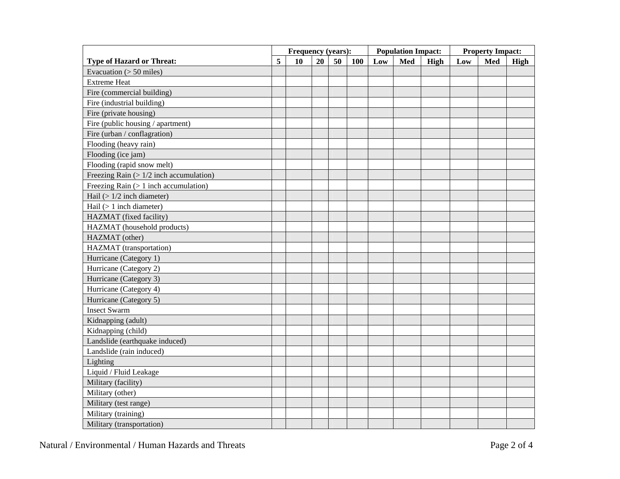|                                          |   | Frequency (years): |    |    |     |     | <b>Population Impact:</b> |      | <b>Property Impact:</b> |     |      |
|------------------------------------------|---|--------------------|----|----|-----|-----|---------------------------|------|-------------------------|-----|------|
| <b>Type of Hazard or Threat:</b>         | 5 | 10                 | 20 | 50 | 100 | Low | Med                       | High | Low                     | Med | High |
| Evacuation $(> 50$ miles)                |   |                    |    |    |     |     |                           |      |                         |     |      |
| <b>Extreme Heat</b>                      |   |                    |    |    |     |     |                           |      |                         |     |      |
| Fire (commercial building)               |   |                    |    |    |     |     |                           |      |                         |     |      |
| Fire (industrial building)               |   |                    |    |    |     |     |                           |      |                         |     |      |
| Fire (private housing)                   |   |                    |    |    |     |     |                           |      |                         |     |      |
| Fire (public housing / apartment)        |   |                    |    |    |     |     |                           |      |                         |     |      |
| Fire (urban / conflagration)             |   |                    |    |    |     |     |                           |      |                         |     |      |
| Flooding (heavy rain)                    |   |                    |    |    |     |     |                           |      |                         |     |      |
| Flooding (ice jam)                       |   |                    |    |    |     |     |                           |      |                         |     |      |
| Flooding (rapid snow melt)               |   |                    |    |    |     |     |                           |      |                         |     |      |
| Freezing Rain $(>1/2$ inch accumulation) |   |                    |    |    |     |     |                           |      |                         |     |      |
| Freezing Rain $(> 1$ inch accumulation)  |   |                    |    |    |     |     |                           |      |                         |     |      |
| Hail $(>1/2$ inch diameter)              |   |                    |    |    |     |     |                           |      |                         |     |      |
| Hail $(> 1$ inch diameter)               |   |                    |    |    |     |     |                           |      |                         |     |      |
| HAZMAT (fixed facility)                  |   |                    |    |    |     |     |                           |      |                         |     |      |
| HAZMAT (household products)              |   |                    |    |    |     |     |                           |      |                         |     |      |
| HAZMAT (other)                           |   |                    |    |    |     |     |                           |      |                         |     |      |
| HAZMAT (transportation)                  |   |                    |    |    |     |     |                           |      |                         |     |      |
| Hurricane (Category 1)                   |   |                    |    |    |     |     |                           |      |                         |     |      |
| Hurricane (Category 2)                   |   |                    |    |    |     |     |                           |      |                         |     |      |
| Hurricane (Category 3)                   |   |                    |    |    |     |     |                           |      |                         |     |      |
| Hurricane (Category 4)                   |   |                    |    |    |     |     |                           |      |                         |     |      |
| Hurricane (Category 5)                   |   |                    |    |    |     |     |                           |      |                         |     |      |
| <b>Insect Swarm</b>                      |   |                    |    |    |     |     |                           |      |                         |     |      |
| Kidnapping (adult)                       |   |                    |    |    |     |     |                           |      |                         |     |      |
| Kidnapping (child)                       |   |                    |    |    |     |     |                           |      |                         |     |      |
| Landslide (earthquake induced)           |   |                    |    |    |     |     |                           |      |                         |     |      |
| Landslide (rain induced)                 |   |                    |    |    |     |     |                           |      |                         |     |      |
| Lighting                                 |   |                    |    |    |     |     |                           |      |                         |     |      |
| Liquid / Fluid Leakage                   |   |                    |    |    |     |     |                           |      |                         |     |      |
| Military (facility)                      |   |                    |    |    |     |     |                           |      |                         |     |      |
| Military (other)                         |   |                    |    |    |     |     |                           |      |                         |     |      |
| Military (test range)                    |   |                    |    |    |     |     |                           |      |                         |     |      |
| Military (training)                      |   |                    |    |    |     |     |                           |      |                         |     |      |
| Military (transportation)                |   |                    |    |    |     |     |                           |      |                         |     |      |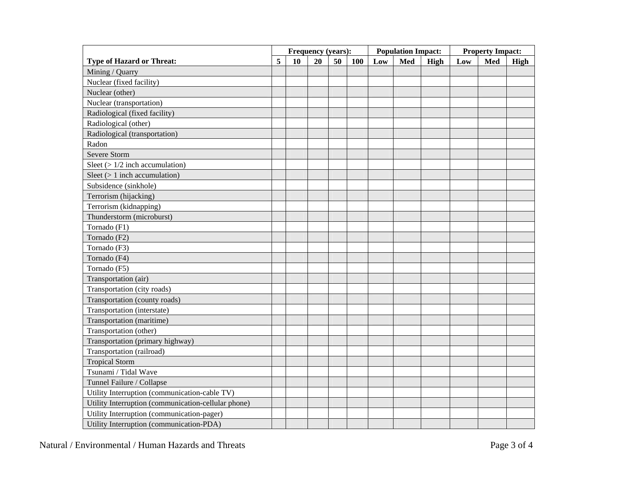|                                                     |   | Frequency (years): |    |    |     |     | <b>Population Impact:</b> |      | <b>Property Impact:</b> |     |      |
|-----------------------------------------------------|---|--------------------|----|----|-----|-----|---------------------------|------|-------------------------|-----|------|
| <b>Type of Hazard or Threat:</b>                    | 5 | 10                 | 20 | 50 | 100 | Low | Med                       | High | Low                     | Med | High |
| Mining / Quarry                                     |   |                    |    |    |     |     |                           |      |                         |     |      |
| Nuclear (fixed facility)                            |   |                    |    |    |     |     |                           |      |                         |     |      |
| Nuclear (other)                                     |   |                    |    |    |     |     |                           |      |                         |     |      |
| Nuclear (transportation)                            |   |                    |    |    |     |     |                           |      |                         |     |      |
| Radiological (fixed facility)                       |   |                    |    |    |     |     |                           |      |                         |     |      |
| Radiological (other)                                |   |                    |    |    |     |     |                           |      |                         |     |      |
| Radiological (transportation)                       |   |                    |    |    |     |     |                           |      |                         |     |      |
| Radon                                               |   |                    |    |    |     |     |                           |      |                         |     |      |
| <b>Severe Storm</b>                                 |   |                    |    |    |     |     |                           |      |                         |     |      |
| Sleet $(>1/2$ inch accumulation)                    |   |                    |    |    |     |     |                           |      |                         |     |      |
| Sleet $(> 1$ inch accumulation)                     |   |                    |    |    |     |     |                           |      |                         |     |      |
| Subsidence (sinkhole)                               |   |                    |    |    |     |     |                           |      |                         |     |      |
| Terrorism (hijacking)                               |   |                    |    |    |     |     |                           |      |                         |     |      |
| Terrorism (kidnapping)                              |   |                    |    |    |     |     |                           |      |                         |     |      |
| Thunderstorm (microburst)                           |   |                    |    |    |     |     |                           |      |                         |     |      |
| Tornado (F1)                                        |   |                    |    |    |     |     |                           |      |                         |     |      |
| Tornado (F2)                                        |   |                    |    |    |     |     |                           |      |                         |     |      |
| Tornado (F3)                                        |   |                    |    |    |     |     |                           |      |                         |     |      |
| Tornado (F4)                                        |   |                    |    |    |     |     |                           |      |                         |     |      |
| Tornado (F5)                                        |   |                    |    |    |     |     |                           |      |                         |     |      |
| Transportation (air)                                |   |                    |    |    |     |     |                           |      |                         |     |      |
| Transportation (city roads)                         |   |                    |    |    |     |     |                           |      |                         |     |      |
| Transportation (county roads)                       |   |                    |    |    |     |     |                           |      |                         |     |      |
| Transportation (interstate)                         |   |                    |    |    |     |     |                           |      |                         |     |      |
| Transportation (maritime)                           |   |                    |    |    |     |     |                           |      |                         |     |      |
| Transportation (other)                              |   |                    |    |    |     |     |                           |      |                         |     |      |
| Transportation (primary highway)                    |   |                    |    |    |     |     |                           |      |                         |     |      |
| Transportation (railroad)                           |   |                    |    |    |     |     |                           |      |                         |     |      |
| <b>Tropical Storm</b>                               |   |                    |    |    |     |     |                           |      |                         |     |      |
| Tsunami / Tidal Wave                                |   |                    |    |    |     |     |                           |      |                         |     |      |
| Tunnel Failure / Collapse                           |   |                    |    |    |     |     |                           |      |                         |     |      |
| Utility Interruption (communication-cable TV)       |   |                    |    |    |     |     |                           |      |                         |     |      |
| Utility Interruption (communication-cellular phone) |   |                    |    |    |     |     |                           |      |                         |     |      |
| Utility Interruption (communication-pager)          |   |                    |    |    |     |     |                           |      |                         |     |      |
| Utility Interruption (communication-PDA)            |   |                    |    |    |     |     |                           |      |                         |     |      |